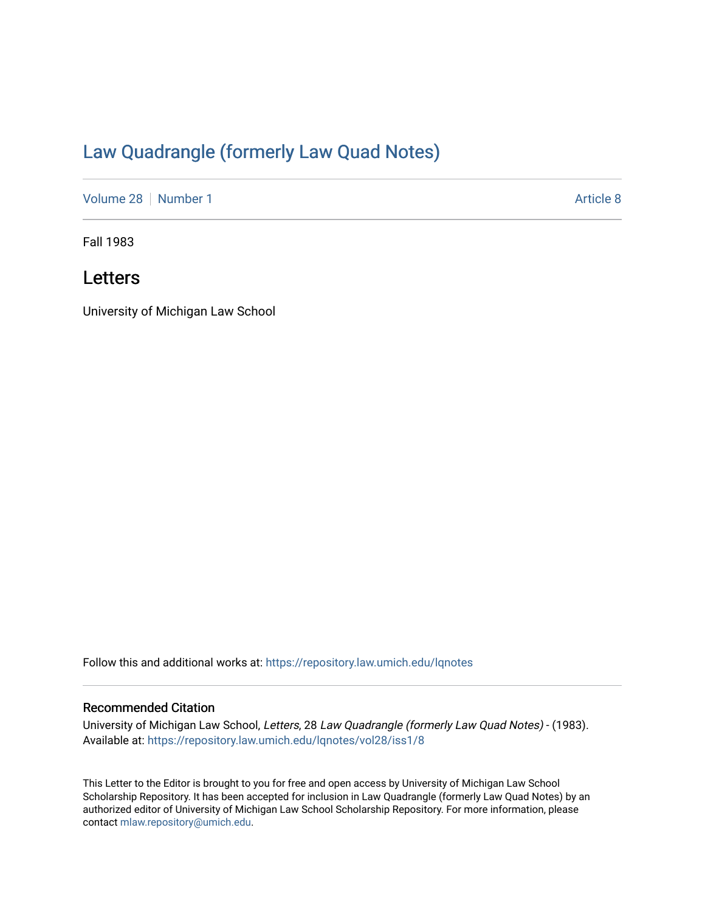# [Law Quadrangle \(formerly Law Quad Notes\)](https://repository.law.umich.edu/lqnotes)

[Volume 28](https://repository.law.umich.edu/lqnotes/vol28) [Number 1](https://repository.law.umich.edu/lqnotes/vol28/iss1) [Article 8](https://repository.law.umich.edu/lqnotes/vol28/iss1/8) Article 8

Fall 1983

## Letters

University of Michigan Law School

Follow this and additional works at: [https://repository.law.umich.edu/lqnotes](https://repository.law.umich.edu/lqnotes?utm_source=repository.law.umich.edu%2Flqnotes%2Fvol28%2Fiss1%2F8&utm_medium=PDF&utm_campaign=PDFCoverPages) 

## Recommended Citation

University of Michigan Law School, Letters, 28 Law Quadrangle (formerly Law Quad Notes) - (1983). Available at: [https://repository.law.umich.edu/lqnotes/vol28/iss1/8](https://repository.law.umich.edu/lqnotes/vol28/iss1/8?utm_source=repository.law.umich.edu%2Flqnotes%2Fvol28%2Fiss1%2F8&utm_medium=PDF&utm_campaign=PDFCoverPages) 

This Letter to the Editor is brought to you for free and open access by University of Michigan Law School Scholarship Repository. It has been accepted for inclusion in Law Quadrangle (formerly Law Quad Notes) by an authorized editor of University of Michigan Law School Scholarship Repository. For more information, please contact [mlaw.repository@umich.edu](mailto:mlaw.repository@umich.edu).